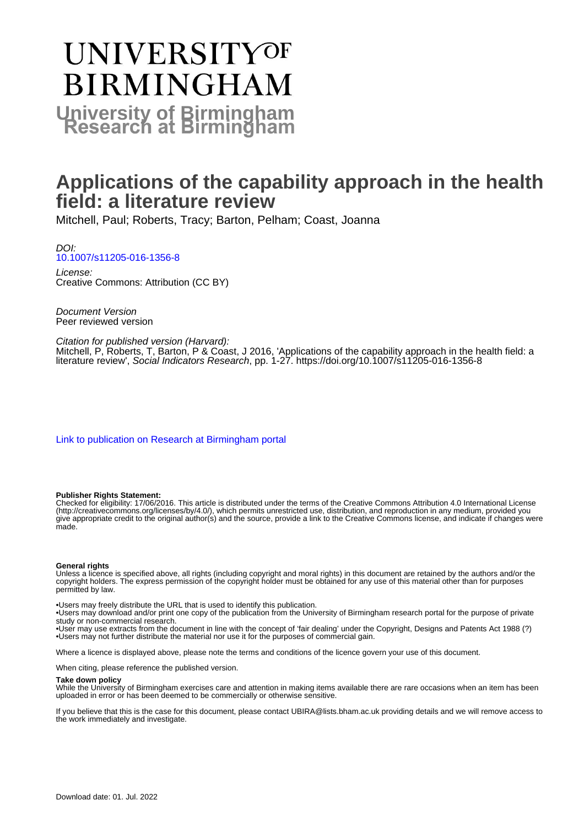# UNIVERSITYOF **BIRMINGHAM University of Birmingham**

# **Applications of the capability approach in the health field: a literature review**

Mitchell, Paul; Roberts, Tracy; Barton, Pelham; Coast, Joanna

DOI: [10.1007/s11205-016-1356-8](https://doi.org/10.1007/s11205-016-1356-8)

License: Creative Commons: Attribution (CC BY)

Document Version Peer reviewed version

# Citation for published version (Harvard):

Mitchell, P, Roberts, T, Barton, P & Coast, J 2016, 'Applications of the capability approach in the health field: a literature review', Social Indicators Research, pp. 1-27. <https://doi.org/10.1007/s11205-016-1356-8>

[Link to publication on Research at Birmingham portal](https://birmingham.elsevierpure.com/en/publications/9c722c2b-1c87-4dfe-8ed0-854c10458562)

#### **Publisher Rights Statement:**

Checked for eligibility: 17/06/2016. This article is distributed under the terms of the Creative Commons Attribution 4.0 International License (http://creativecommons.org/licenses/by/4.0/), which permits unrestricted use, distribution, and reproduction in any medium, provided you give appropriate credit to the original author(s) and the source, provide a link to the Creative Commons license, and indicate if changes were made.

#### **General rights**

Unless a licence is specified above, all rights (including copyright and moral rights) in this document are retained by the authors and/or the copyright holders. The express permission of the copyright holder must be obtained for any use of this material other than for purposes permitted by law.

• Users may freely distribute the URL that is used to identify this publication.

• Users may download and/or print one copy of the publication from the University of Birmingham research portal for the purpose of private study or non-commercial research.

• User may use extracts from the document in line with the concept of 'fair dealing' under the Copyright, Designs and Patents Act 1988 (?) • Users may not further distribute the material nor use it for the purposes of commercial gain.

Where a licence is displayed above, please note the terms and conditions of the licence govern your use of this document.

When citing, please reference the published version.

#### **Take down policy**

While the University of Birmingham exercises care and attention in making items available there are rare occasions when an item has been uploaded in error or has been deemed to be commercially or otherwise sensitive.

If you believe that this is the case for this document, please contact UBIRA@lists.bham.ac.uk providing details and we will remove access to the work immediately and investigate.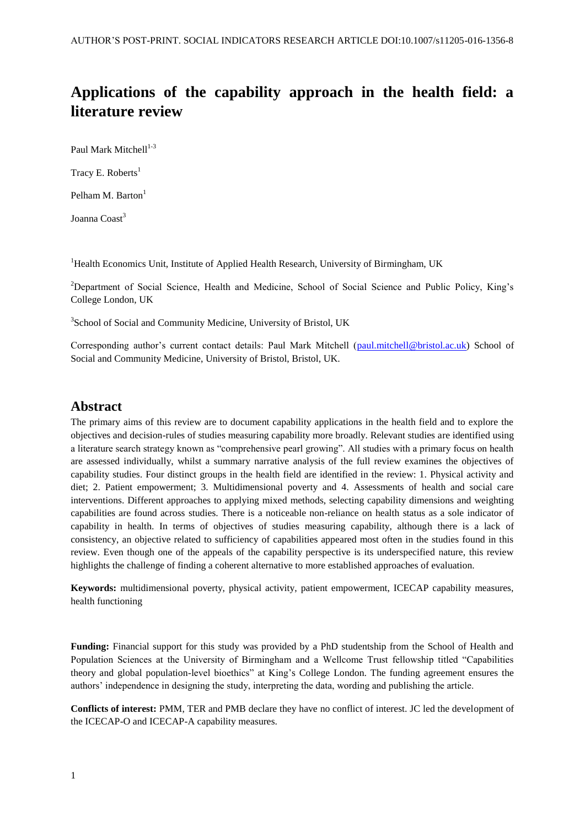# **Applications of the capability approach in the health field: a literature review**

Paul Mark Mitchell<sup>1-3</sup>

Tracy E. Roberts<sup>1</sup>

Pelham M. Barton<sup>1</sup>

Joanna  $\text{Coast}^3$ 

<sup>1</sup>Health Economics Unit, Institute of Applied Health Research, University of Birmingham, UK

<sup>2</sup>Department of Social Science, Health and Medicine, School of Social Science and Public Policy, King's College London, UK

<sup>3</sup>School of Social and Community Medicine, University of Bristol, UK

Corresponding author's current contact details: Paul Mark Mitchell [\(paul.mitchell@bristol.ac.uk\)](mailto:paul.mitchell@bristol.ac.uk) School of Social and Community Medicine, University of Bristol, Bristol, UK.

# **Abstract**

The primary aims of this review are to document capability applications in the health field and to explore the objectives and decision-rules of studies measuring capability more broadly. Relevant studies are identified using a literature search strategy known as "comprehensive pearl growing". All studies with a primary focus on health are assessed individually, whilst a summary narrative analysis of the full review examines the objectives of capability studies. Four distinct groups in the health field are identified in the review: 1. Physical activity and diet; 2. Patient empowerment; 3. Multidimensional poverty and 4. Assessments of health and social care interventions. Different approaches to applying mixed methods, selecting capability dimensions and weighting capabilities are found across studies. There is a noticeable non-reliance on health status as a sole indicator of capability in health. In terms of objectives of studies measuring capability, although there is a lack of consistency, an objective related to sufficiency of capabilities appeared most often in the studies found in this review. Even though one of the appeals of the capability perspective is its underspecified nature, this review highlights the challenge of finding a coherent alternative to more established approaches of evaluation.

**Keywords:** multidimensional poverty, physical activity, patient empowerment, ICECAP capability measures, health functioning

**Funding:** Financial support for this study was provided by a PhD studentship from the School of Health and Population Sciences at the University of Birmingham and a Wellcome Trust fellowship titled "Capabilities theory and global population-level bioethics" at King's College London. The funding agreement ensures the authors' independence in designing the study, interpreting the data, wording and publishing the article.

**Conflicts of interest:** PMM, TER and PMB declare they have no conflict of interest. JC led the development of the ICECAP-O and ICECAP-A capability measures.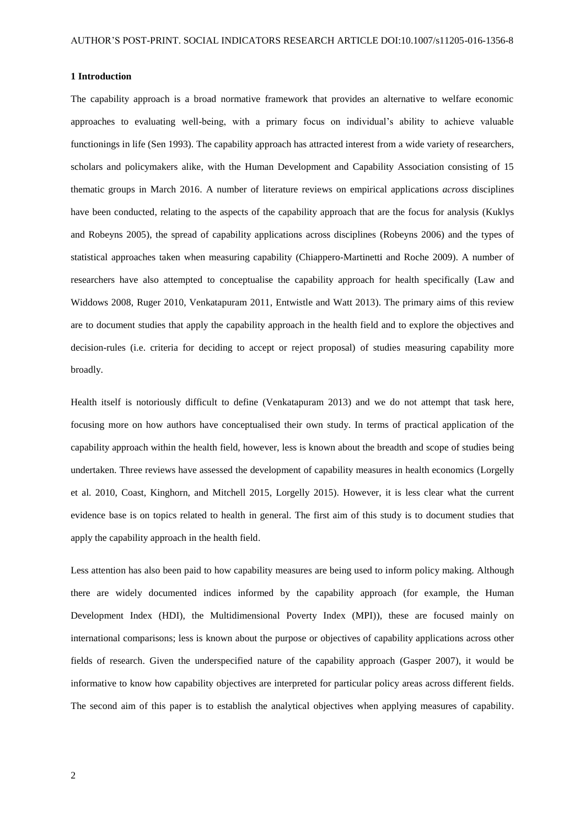#### **1 Introduction**

The capability approach is a broad normative framework that provides an alternative to welfare economic approaches to evaluating well-being, with a primary focus on individual's ability to achieve valuable functionings in life (Sen 1993). The capability approach has attracted interest from a wide variety of researchers, scholars and policymakers alike, with the Human Development and Capability Association consisting of 15 thematic groups in March 2016. A number of literature reviews on empirical applications *across* disciplines have been conducted, relating to the aspects of the capability approach that are the focus for analysis [\(Kuklys](#page-23-0)  [and Robeyns 2005\)](#page-23-0), the spread of capability applications across disciplines [\(Robeyns 2006\)](#page-24-0) and the types of statistical approaches taken when measuring capability [\(Chiappero-Martinetti and Roche 2009\)](#page-21-0). A number of researchers have also attempted to conceptualise the capability approach for health specifically [\(Law and](#page-23-1)  [Widdows 2008,](#page-23-1) [Ruger 2010,](#page-24-1) [Venkatapuram 2011,](#page-25-0) [Entwistle and Watt 2013\)](#page-22-0). The primary aims of this review are to document studies that apply the capability approach in the health field and to explore the objectives and decision-rules (i.e. criteria for deciding to accept or reject proposal) of studies measuring capability more broadly.

Health itself is notoriously difficult to define [\(Venkatapuram 2013\)](#page-25-1) and we do not attempt that task here, focusing more on how authors have conceptualised their own study. In terms of practical application of the capability approach within the health field, however, less is known about the breadth and scope of studies being undertaken. Three reviews have assessed the development of capability measures in health economics [\(Lorgelly](#page-23-2)  [et al. 2010,](#page-23-2) [Coast, Kinghorn, and Mitchell 2015,](#page-21-1) [Lorgelly 2015\)](#page-23-3). However, it is less clear what the current evidence base is on topics related to health in general. The first aim of this study is to document studies that apply the capability approach in the health field.

Less attention has also been paid to how capability measures are being used to inform policy making. Although there are widely documented indices informed by the capability approach (for example, the Human Development Index (HDI), the Multidimensional Poverty Index (MPI)), these are focused mainly on international comparisons; less is known about the purpose or objectives of capability applications across other fields of research. Given the underspecified nature of the capability approach [\(Gasper 2007\)](#page-22-1), it would be informative to know how capability objectives are interpreted for particular policy areas across different fields. The second aim of this paper is to establish the analytical objectives when applying measures of capability.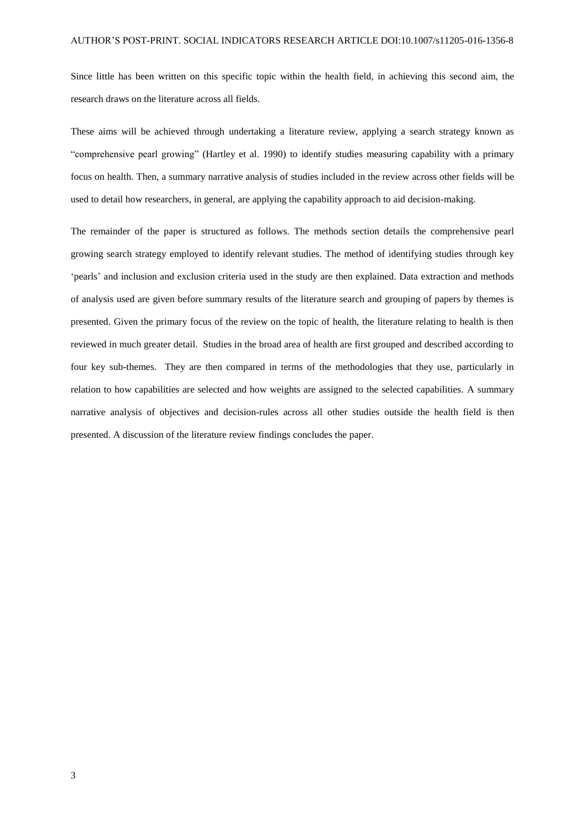Since little has been written on this specific topic within the health field, in achieving this second aim, the research draws on the literature across all fields.

These aims will be achieved through undertaking a literature review, applying a search strategy known as "comprehensive pearl growing" [\(Hartley et al. 1990\)](#page-22-2) to identify studies measuring capability with a primary focus on health. Then, a summary narrative analysis of studies included in the review across other fields will be used to detail how researchers, in general, are applying the capability approach to aid decision-making.

The remainder of the paper is structured as follows. The methods section details the comprehensive pearl growing search strategy employed to identify relevant studies. The method of identifying studies through key 'pearls' and inclusion and exclusion criteria used in the study are then explained. Data extraction and methods of analysis used are given before summary results of the literature search and grouping of papers by themes is presented. Given the primary focus of the review on the topic of health, the literature relating to health is then reviewed in much greater detail. Studies in the broad area of health are first grouped and described according to four key sub-themes. They are then compared in terms of the methodologies that they use, particularly in relation to how capabilities are selected and how weights are assigned to the selected capabilities. A summary narrative analysis of objectives and decision-rules across all other studies outside the health field is then presented. A discussion of the literature review findings concludes the paper.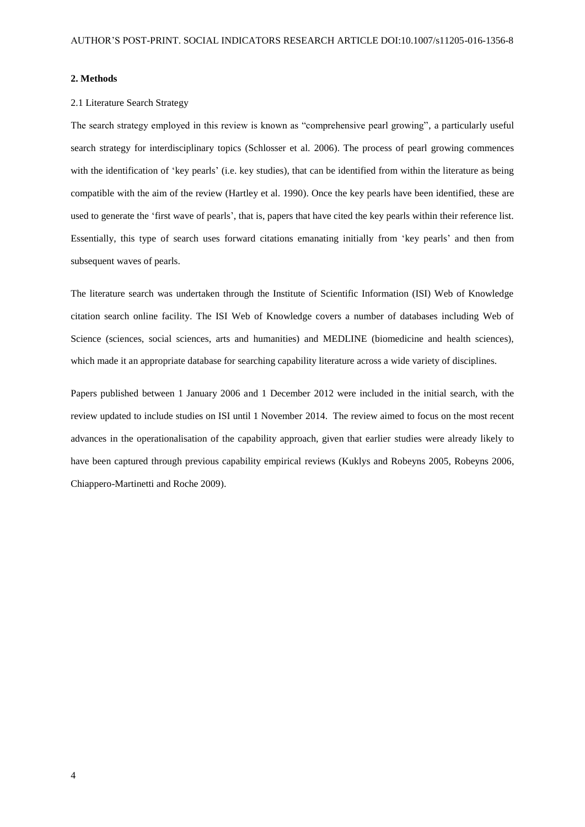# **2. Methods**

# 2.1 Literature Search Strategy

The search strategy employed in this review is known as "comprehensive pearl growing", a particularly useful search strategy for interdisciplinary topics [\(Schlosser et al. 2006\)](#page-24-2). The process of pearl growing commences with the identification of 'key pearls' (i.e. key studies), that can be identified from within the literature as being compatible with the aim of the review [\(Hartley et al. 1990\)](#page-22-2). Once the key pearls have been identified, these are used to generate the 'first wave of pearls', that is, papers that have cited the key pearls within their reference list. Essentially, this type of search uses forward citations emanating initially from 'key pearls' and then from subsequent waves of pearls.

The literature search was undertaken through the Institute of Scientific Information (ISI) Web of Knowledge citation search online facility. The ISI Web of Knowledge covers a number of databases including Web of Science (sciences, social sciences, arts and humanities) and MEDLINE (biomedicine and health sciences), which made it an appropriate database for searching capability literature across a wide variety of disciplines.

Papers published between 1 January 2006 and 1 December 2012 were included in the initial search, with the review updated to include studies on ISI until 1 November 2014. The review aimed to focus on the most recent advances in the operationalisation of the capability approach, given that earlier studies were already likely to have been captured through previous capability empirical reviews [\(Kuklys and Robeyns 2005,](#page-23-0) [Robeyns 2006,](#page-24-0) [Chiappero-Martinetti and Roche 2009\)](#page-21-0).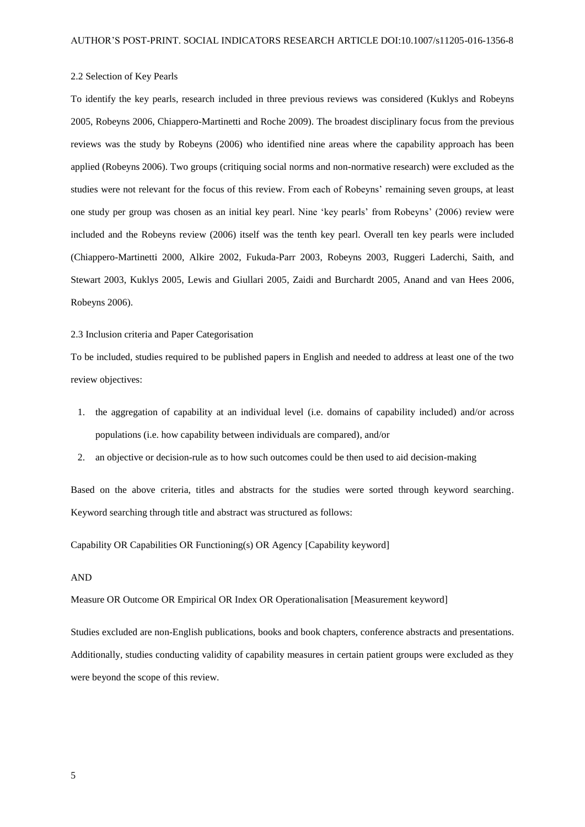# 2.2 Selection of Key Pearls

To identify the key pearls, research included in three previous reviews was considered [\(Kuklys and Robeyns](#page-23-0)  [2005,](#page-23-0) [Robeyns 2006,](#page-24-0) [Chiappero-Martinetti and Roche 2009\)](#page-21-0). The broadest disciplinary focus from the previous reviews was the study by Robeyns (2006) who identified nine areas where the capability approach has been applied [\(Robeyns 2006\)](#page-24-0). Two groups (critiquing social norms and non-normative research) were excluded as the studies were not relevant for the focus of this review. From each of Robeyns' remaining seven groups, at least one study per group was chosen as an initial key pearl. Nine 'key pearls' from Robeyns' (2006) review were included and the Robeyns review (2006) itself was the tenth key pearl. Overall ten key pearls were included [\(Chiappero-Martinetti 2000,](#page-21-2) [Alkire 2002,](#page-21-3) [Fukuda-Parr 2003,](#page-22-3) [Robeyns 2003,](#page-24-3) [Ruggeri Laderchi, Saith, and](#page-24-4)  [Stewart 2003,](#page-24-4) [Kuklys 2005,](#page-22-4) [Lewis and Giullari 2005,](#page-23-4) [Zaidi and Burchardt 2005,](#page-25-2) [Anand and van Hees 2006,](#page-21-4) [Robeyns 2006\)](#page-24-0).

# 2.3 Inclusion criteria and Paper Categorisation

To be included, studies required to be published papers in English and needed to address at least one of the two review objectives:

- 1. the aggregation of capability at an individual level (i.e. domains of capability included) and/or across populations (i.e. how capability between individuals are compared), and/or
- 2. an objective or decision-rule as to how such outcomes could be then used to aid decision-making

Based on the above criteria, titles and abstracts for the studies were sorted through keyword searching. Keyword searching through title and abstract was structured as follows:

Capability OR Capabilities OR Functioning(s) OR Agency [Capability keyword]

# AND

Measure OR Outcome OR Empirical OR Index OR Operationalisation [Measurement keyword]

Studies excluded are non-English publications, books and book chapters, conference abstracts and presentations. Additionally, studies conducting validity of capability measures in certain patient groups were excluded as they were beyond the scope of this review.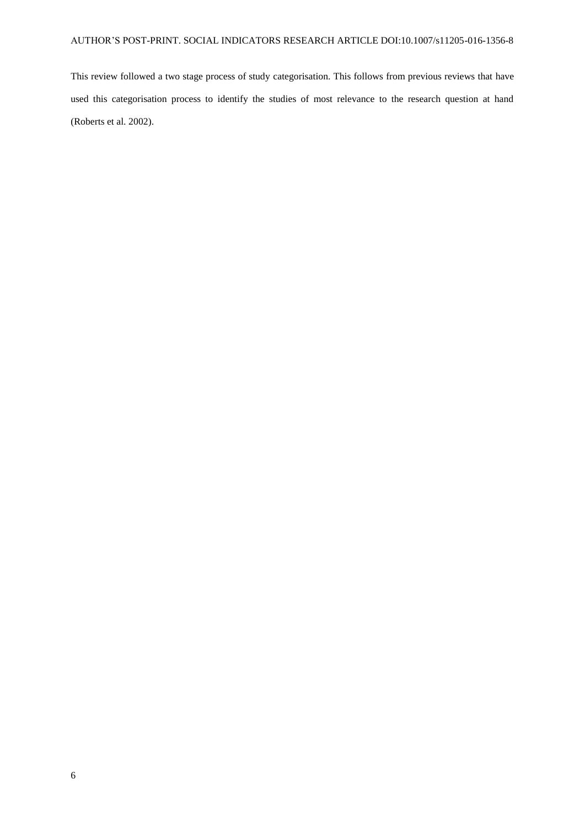This review followed a two stage process of study categorisation. This follows from previous reviews that have used this categorisation process to identify the studies of most relevance to the research question at hand [\(Roberts et al. 2002\)](#page-24-5).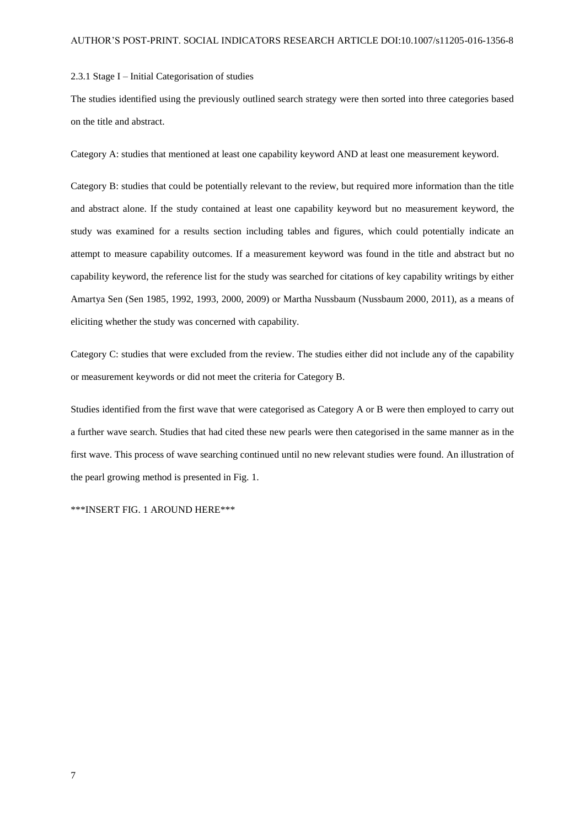## 2.3.1 Stage I – Initial Categorisation of studies

The studies identified using the previously outlined search strategy were then sorted into three categories based on the title and abstract.

Category A: studies that mentioned at least one capability keyword AND at least one measurement keyword.

Category B: studies that could be potentially relevant to the review, but required more information than the title and abstract alone. If the study contained at least one capability keyword but no measurement keyword, the study was examined for a results section including tables and figures, which could potentially indicate an attempt to measure capability outcomes. If a measurement keyword was found in the title and abstract but no capability keyword, the reference list for the study was searched for citations of key capability writings by either Amartya Sen [\(Sen 1985,](#page-24-6) [1992,](#page-24-7) [1993,](#page-24-8) [2000,](#page-24-9) [2009\)](#page-24-10) or Martha Nussbaum [\(Nussbaum 2000,](#page-24-11) [2011\)](#page-24-12), as a means of eliciting whether the study was concerned with capability.

Category C: studies that were excluded from the review. The studies either did not include any of the capability or measurement keywords or did not meet the criteria for Category B.

Studies identified from the first wave that were categorised as Category A or B were then employed to carry out a further wave search. Studies that had cited these new pearls were then categorised in the same manner as in the first wave. This process of wave searching continued until no new relevant studies were found. An illustration of the pearl growing method is presented in Fig. 1.

\*\*\*INSERT FIG. 1 AROUND HERE\*\*\*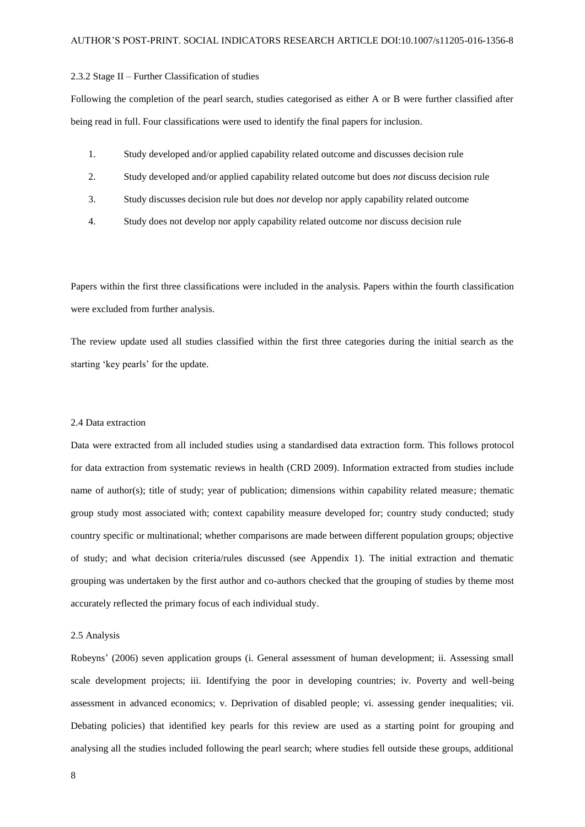#### 2.3.2 Stage II – Further Classification of studies

Following the completion of the pearl search, studies categorised as either A or B were further classified after being read in full. Four classifications were used to identify the final papers for inclusion.

- 1. Study developed and/or applied capability related outcome and discusses decision rule
- 2. Study developed and/or applied capability related outcome but does *not* discuss decision rule
- 3. Study discusses decision rule but does *not* develop nor apply capability related outcome
- 4. Study does not develop nor apply capability related outcome nor discuss decision rule

Papers within the first three classifications were included in the analysis. Papers within the fourth classification were excluded from further analysis.

The review update used all studies classified within the first three categories during the initial search as the starting 'key pearls' for the update.

#### 2.4 Data extraction

Data were extracted from all included studies using a standardised data extraction form. This follows protocol for data extraction from systematic reviews in health [\(CRD 2009\)](#page-22-5). Information extracted from studies include name of author(s); title of study; year of publication; dimensions within capability related measure; thematic group study most associated with; context capability measure developed for; country study conducted; study country specific or multinational; whether comparisons are made between different population groups; objective of study; and what decision criteria/rules discussed (see Appendix 1). The initial extraction and thematic grouping was undertaken by the first author and co-authors checked that the grouping of studies by theme most accurately reflected the primary focus of each individual study.

#### 2.5 Analysis

Robeyns' (2006) seven application groups (i. General assessment of human development; ii. Assessing small scale development projects; iii. Identifying the poor in developing countries; iv. Poverty and well-being assessment in advanced economics; v. Deprivation of disabled people; vi. assessing gender inequalities; vii. Debating policies) that identified key pearls for this review are used as a starting point for grouping and analysing all the studies included following the pearl search; where studies fell outside these groups, additional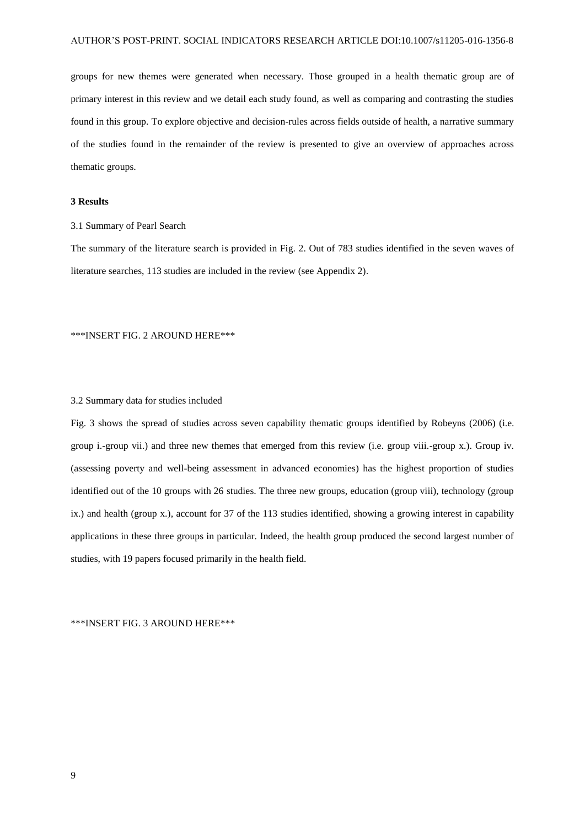groups for new themes were generated when necessary. Those grouped in a health thematic group are of primary interest in this review and we detail each study found, as well as comparing and contrasting the studies found in this group. To explore objective and decision-rules across fields outside of health, a narrative summary of the studies found in the remainder of the review is presented to give an overview of approaches across thematic groups.

# **3 Results**

## 3.1 Summary of Pearl Search

The summary of the literature search is provided in Fig. 2. Out of 783 studies identified in the seven waves of literature searches, 113 studies are included in the review (see Appendix 2).

\*\*\*INSERT FIG. 2 AROUND HERE\*\*\*

# 3.2 Summary data for studies included

Fig. 3 shows the spread of studies across seven capability thematic groups identified by Robeyns (2006) (i.e. group i.-group vii.) and three new themes that emerged from this review (i.e. group viii.-group x.). Group iv. (assessing poverty and well-being assessment in advanced economies) has the highest proportion of studies identified out of the 10 groups with 26 studies. The three new groups, education (group viii), technology (group ix.) and health (group x.), account for 37 of the 113 studies identified, showing a growing interest in capability applications in these three groups in particular. Indeed, the health group produced the second largest number of studies, with 19 papers focused primarily in the health field.

\*\*\*INSERT FIG. 3 AROUND HERE\*\*\*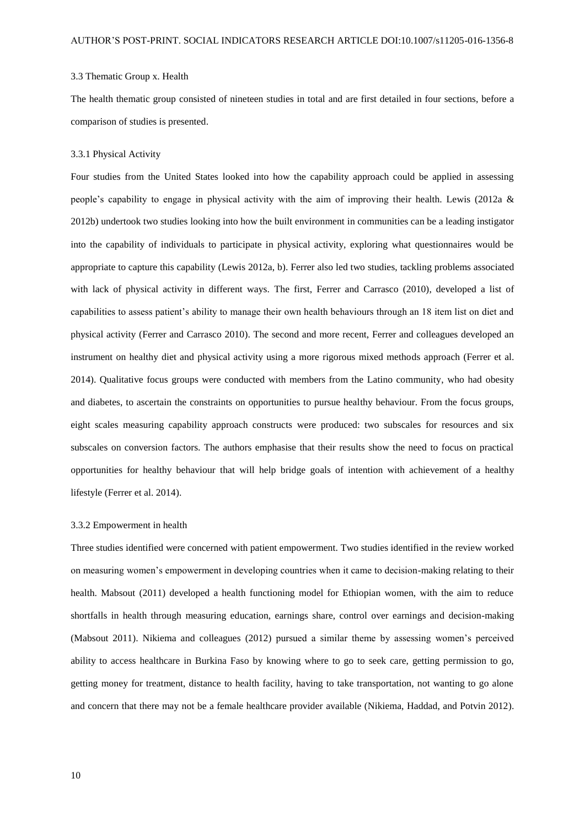#### 3.3 Thematic Group x. Health

The health thematic group consisted of nineteen studies in total and are first detailed in four sections, before a comparison of studies is presented.

#### 3.3.1 Physical Activity

Four studies from the United States looked into how the capability approach could be applied in assessing people's capability to engage in physical activity with the aim of improving their health. Lewis (2012a & 2012b) undertook two studies looking into how the built environment in communities can be a leading instigator into the capability of individuals to participate in physical activity, exploring what questionnaires would be appropriate to capture this capability [\(Lewis 2012a,](#page-23-5) [b\)](#page-23-6). Ferrer also led two studies, tackling problems associated with lack of physical activity in different ways. The first, Ferrer and Carrasco (2010), developed a list of capabilities to assess patient's ability to manage their own health behaviours through an 18 item list on diet and physical activity [\(Ferrer and Carrasco 2010\)](#page-22-6). The second and more recent, Ferrer and colleagues developed an instrument on healthy diet and physical activity using a more rigorous mixed methods approach [\(Ferrer et al.](#page-22-7)  [2014\)](#page-22-7). Qualitative focus groups were conducted with members from the Latino community, who had obesity and diabetes, to ascertain the constraints on opportunities to pursue healthy behaviour. From the focus groups, eight scales measuring capability approach constructs were produced: two subscales for resources and six subscales on conversion factors. The authors emphasise that their results show the need to focus on practical opportunities for healthy behaviour that will help bridge goals of intention with achievement of a healthy lifestyle [\(Ferrer et al. 2014\)](#page-22-7).

#### 3.3.2 Empowerment in health

Three studies identified were concerned with patient empowerment. Two studies identified in the review worked on measuring women's empowerment in developing countries when it came to decision-making relating to their health. Mabsout (2011) developed a health functioning model for Ethiopian women, with the aim to reduce shortfalls in health through measuring education, earnings share, control over earnings and decision-making [\(Mabsout 2011\)](#page-23-7). Nikiema and colleagues (2012) pursued a similar theme by assessing women's perceived ability to access healthcare in Burkina Faso by knowing where to go to seek care, getting permission to go, getting money for treatment, distance to health facility, having to take transportation, not wanting to go alone and concern that there may not be a female healthcare provider available [\(Nikiema, Haddad, and Potvin 2012\)](#page-24-13).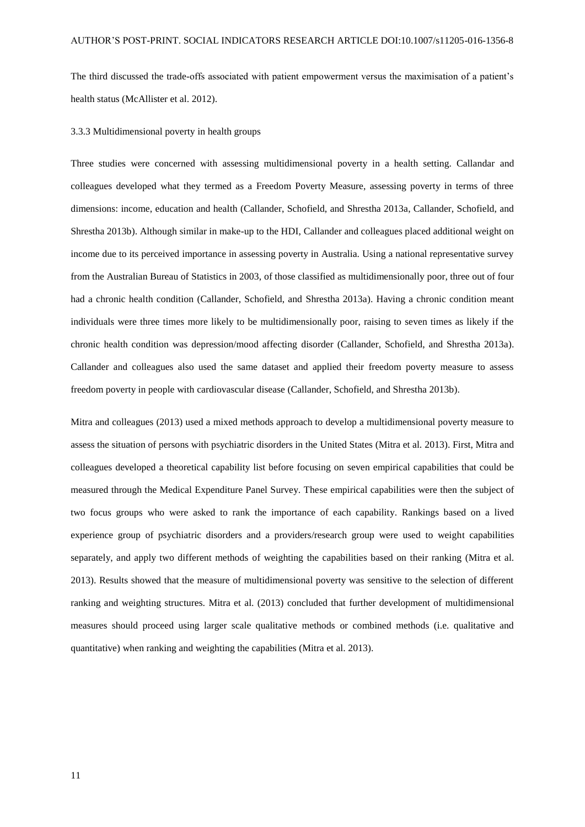The third discussed the trade-offs associated with patient empowerment versus the maximisation of a patient's health status [\(McAllister et al. 2012\)](#page-23-8).

#### 3.3.3 Multidimensional poverty in health groups

Three studies were concerned with assessing multidimensional poverty in a health setting. Callandar and colleagues developed what they termed as a Freedom Poverty Measure, assessing poverty in terms of three dimensions: income, education and health [\(Callander, Schofield, and Shrestha 2013a,](#page-21-5) [Callander, Schofield, and](#page-21-6)  [Shrestha 2013b\)](#page-21-6). Although similar in make-up to the HDI, Callander and colleagues placed additional weight on income due to its perceived importance in assessing poverty in Australia. Using a national representative survey from the Australian Bureau of Statistics in 2003, of those classified as multidimensionally poor, three out of four had a chronic health condition [\(Callander, Schofield, and Shrestha 2013a\)](#page-21-5). Having a chronic condition meant individuals were three times more likely to be multidimensionally poor, raising to seven times as likely if the chronic health condition was depression/mood affecting disorder [\(Callander, Schofield, and Shrestha 2013a\)](#page-21-5). Callander and colleagues also used the same dataset and applied their freedom poverty measure to assess freedom poverty in people with cardiovascular disease [\(Callander, Schofield, and Shrestha 2013b\)](#page-21-6).

Mitra and colleagues (2013) used a mixed methods approach to develop a multidimensional poverty measure to assess the situation of persons with psychiatric disorders in the United States [\(Mitra et al. 2013\)](#page-23-9). First, Mitra and colleagues developed a theoretical capability list before focusing on seven empirical capabilities that could be measured through the Medical Expenditure Panel Survey. These empirical capabilities were then the subject of two focus groups who were asked to rank the importance of each capability. Rankings based on a lived experience group of psychiatric disorders and a providers/research group were used to weight capabilities separately, and apply two different methods of weighting the capabilities based on their ranking [\(Mitra et al.](#page-23-9)  [2013\)](#page-23-9). Results showed that the measure of multidimensional poverty was sensitive to the selection of different ranking and weighting structures. Mitra et al. (2013) concluded that further development of multidimensional measures should proceed using larger scale qualitative methods or combined methods (i.e. qualitative and quantitative) when ranking and weighting the capabilities [\(Mitra et al. 2013\)](#page-23-9).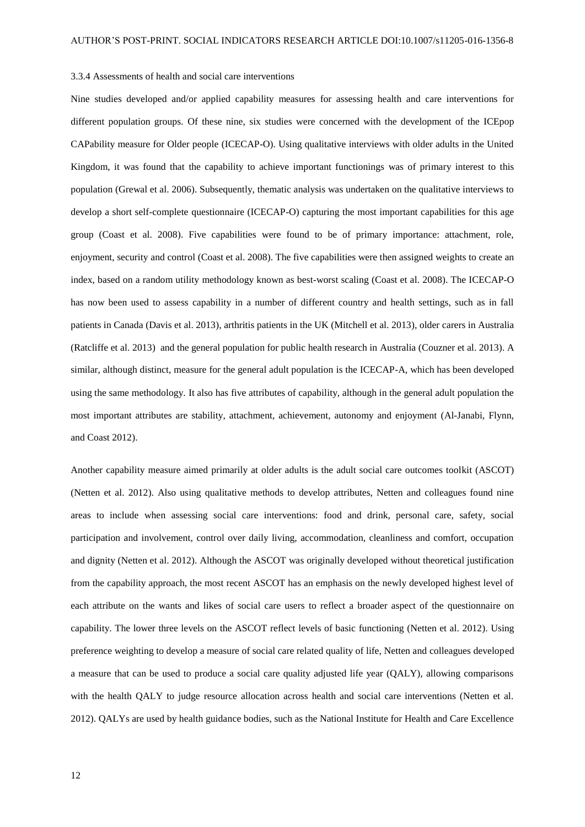#### 3.3.4 Assessments of health and social care interventions

Nine studies developed and/or applied capability measures for assessing health and care interventions for different population groups. Of these nine, six studies were concerned with the development of the ICEpop CAPability measure for Older people (ICECAP-O). Using qualitative interviews with older adults in the United Kingdom, it was found that the capability to achieve important functionings was of primary interest to this population [\(Grewal et al. 2006\)](#page-22-8). Subsequently, thematic analysis was undertaken on the qualitative interviews to develop a short self-complete questionnaire (ICECAP-O) capturing the most important capabilities for this age group [\(Coast et al. 2008\)](#page-21-7). Five capabilities were found to be of primary importance: attachment, role, enjoyment, security and control [\(Coast et al. 2008\)](#page-21-7). The five capabilities were then assigned weights to create an index, based on a random utility methodology known as best-worst scaling [\(Coast et al. 2008\)](#page-21-7). The ICECAP-O has now been used to assess capability in a number of different country and health settings, such as in fall patients in Canada [\(Davis et al. 2013\)](#page-22-9), arthritis patients in the UK [\(Mitchell et al. 2013\)](#page-23-10), older carers in Australia [\(Ratcliffe et al. 2013\)](#page-24-14) and the general population for public health research in Australia [\(Couzner et al. 2013\)](#page-21-8). A similar, although distinct, measure for the general adult population is the ICECAP-A, which has been developed using the same methodology. It also has five attributes of capability, although in the general adult population the most important attributes are stability, attachment, achievement, autonomy and enjoyment [\(Al-Janabi, Flynn,](#page-21-9)  [and Coast 2012\)](#page-21-9).

Another capability measure aimed primarily at older adults is the adult social care outcomes toolkit (ASCOT) [\(Netten et al. 2012\)](#page-24-15). Also using qualitative methods to develop attributes, Netten and colleagues found nine areas to include when assessing social care interventions: food and drink, personal care, safety, social participation and involvement, control over daily living, accommodation, cleanliness and comfort, occupation and dignity [\(Netten et al. 2012\)](#page-24-15). Although the ASCOT was originally developed without theoretical justification from the capability approach, the most recent ASCOT has an emphasis on the newly developed highest level of each attribute on the wants and likes of social care users to reflect a broader aspect of the questionnaire on capability. The lower three levels on the ASCOT reflect levels of basic functioning [\(Netten et al. 2012\)](#page-24-15). Using preference weighting to develop a measure of social care related quality of life, Netten and colleagues developed a measure that can be used to produce a social care quality adjusted life year (QALY), allowing comparisons with the health QALY to judge resource allocation across health and social care interventions (Netten et al. 2012). QALYs are used by health guidance bodies, such as the National Institute for Health and Care Excellence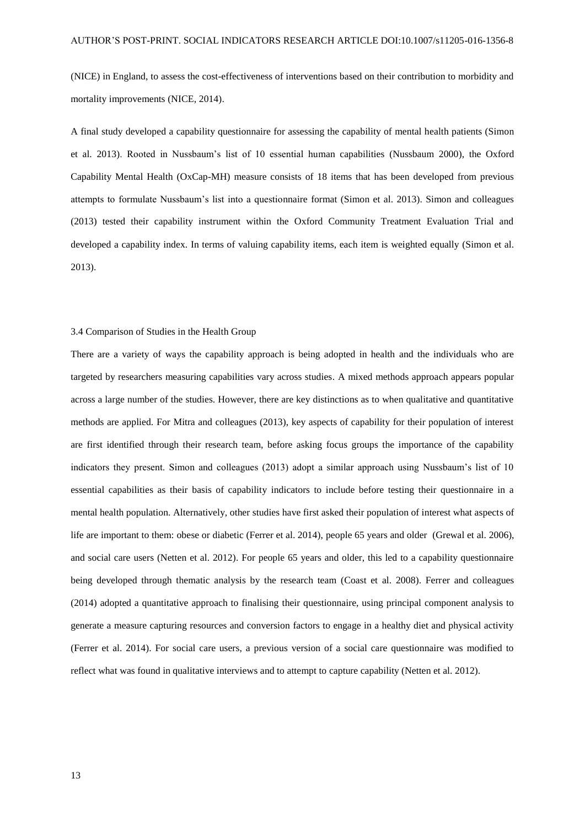(NICE) in England, to assess the cost-effectiveness of interventions based on their contribution to morbidity and mortality improvements (NICE, 2014).

A final study developed a capability questionnaire for assessing the capability of mental health patients [\(Simon](#page-24-16)  [et al. 2013\)](#page-24-16). Rooted in Nussbaum's list of 10 essential human capabilities [\(Nussbaum 2000\)](#page-24-11), the Oxford Capability Mental Health (OxCap-MH) measure consists of 18 items that has been developed from previous attempts to formulate Nussbaum's list into a questionnaire format [\(Simon et al. 2013\)](#page-24-16). Simon and colleagues (2013) tested their capability instrument within the Oxford Community Treatment Evaluation Trial and developed a capability index. In terms of valuing capability items, each item is weighted equally [\(Simon et al.](#page-24-16)  [2013\)](#page-24-16).

# 3.4 Comparison of Studies in the Health Group

There are a variety of ways the capability approach is being adopted in health and the individuals who are targeted by researchers measuring capabilities vary across studies. A mixed methods approach appears popular across a large number of the studies. However, there are key distinctions as to when qualitative and quantitative methods are applied. For Mitra and colleagues (2013), key aspects of capability for their population of interest are first identified through their research team, before asking focus groups the importance of the capability indicators they present. Simon and colleagues (2013) adopt a similar approach using Nussbaum's list of 10 essential capabilities as their basis of capability indicators to include before testing their questionnaire in a mental health population. Alternatively, other studies have first asked their population of interest what aspects of life are important to them: obese or diabetic (Ferrer et al. 2014), people 65 years and older (Grewal et al. 2006), and social care users (Netten et al. 2012). For people 65 years and older, this led to a capability questionnaire being developed through thematic analysis by the research team (Coast et al. 2008). Ferrer and colleagues (2014) adopted a quantitative approach to finalising their questionnaire, using principal component analysis to generate a measure capturing resources and conversion factors to engage in a healthy diet and physical activity (Ferrer et al. 2014). For social care users, a previous version of a social care questionnaire was modified to reflect what was found in qualitative interviews and to attempt to capture capability (Netten et al. 2012).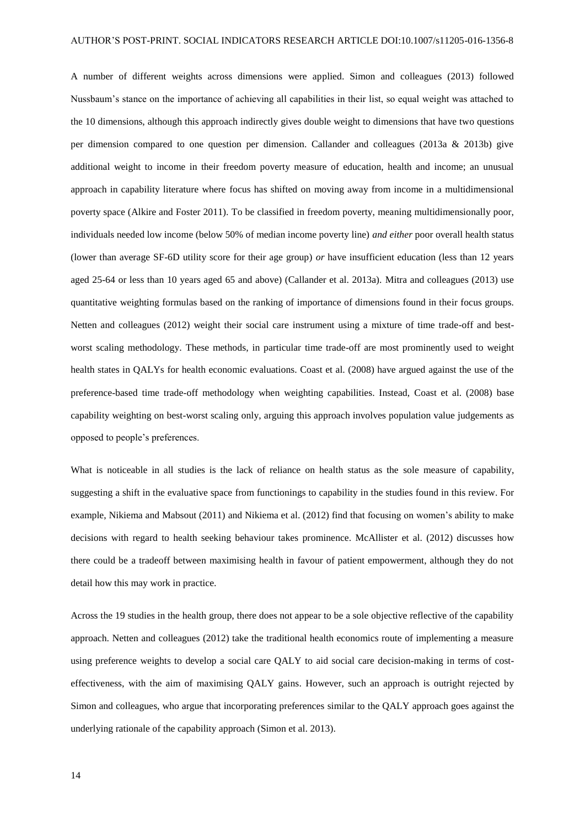A number of different weights across dimensions were applied. Simon and colleagues (2013) followed Nussbaum's stance on the importance of achieving all capabilities in their list, so equal weight was attached to the 10 dimensions, although this approach indirectly gives double weight to dimensions that have two questions per dimension compared to one question per dimension. Callander and colleagues (2013a & 2013b) give additional weight to income in their freedom poverty measure of education, health and income; an unusual approach in capability literature where focus has shifted on moving away from income in a multidimensional poverty space (Alkire and Foster 2011). To be classified in freedom poverty, meaning multidimensionally poor, individuals needed low income (below 50% of median income poverty line) *and either* poor overall health status (lower than average SF-6D utility score for their age group) *or* have insufficient education (less than 12 years aged 25-64 or less than 10 years aged 65 and above) (Callander et al. 2013a). Mitra and colleagues (2013) use quantitative weighting formulas based on the ranking of importance of dimensions found in their focus groups. Netten and colleagues (2012) weight their social care instrument using a mixture of time trade-off and bestworst scaling methodology. These methods, in particular time trade-off are most prominently used to weight health states in QALYs for health economic evaluations. Coast et al. (2008) have argued against the use of the preference-based time trade-off methodology when weighting capabilities. Instead, Coast et al. (2008) base capability weighting on best-worst scaling only, arguing this approach involves population value judgements as opposed to people's preferences.

What is noticeable in all studies is the lack of reliance on health status as the sole measure of capability, suggesting a shift in the evaluative space from functionings to capability in the studies found in this review. For example, Nikiema and Mabsout (2011) and Nikiema et al. (2012) find that focusing on women's ability to make decisions with regard to health seeking behaviour takes prominence. McAllister et al. (2012) discusses how there could be a tradeoff between maximising health in favour of patient empowerment, although they do not detail how this may work in practice.

Across the 19 studies in the health group, there does not appear to be a sole objective reflective of the capability approach. Netten and colleagues (2012) take the traditional health economics route of implementing a measure using preference weights to develop a social care QALY to aid social care decision-making in terms of costeffectiveness, with the aim of maximising QALY gains. However, such an approach is outright rejected by Simon and colleagues, who argue that incorporating preferences similar to the QALY approach goes against the underlying rationale of the capability approach [\(Simon et al. 2013\)](#page-24-16).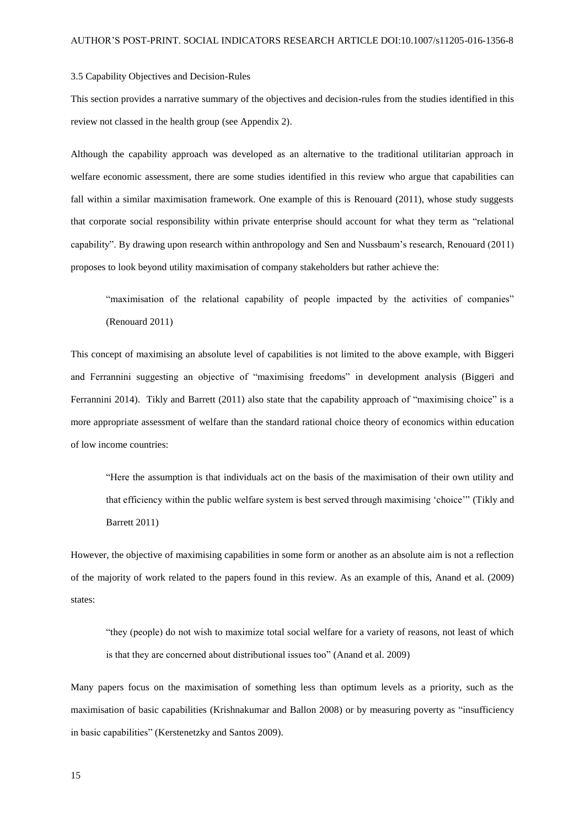#### 3.5 Capability Objectives and Decision-Rules

This section provides a narrative summary of the objectives and decision-rules from the studies identified in this review not classed in the health group (see Appendix 2).

Although the capability approach was developed as an alternative to the traditional utilitarian approach in welfare economic assessment, there are some studies identified in this review who argue that capabilities can fall within a similar maximisation framework. One example of this is Renouard (2011), whose study suggests that corporate social responsibility within private enterprise should account for what they term as "relational capability". By drawing upon research within anthropology and Sen and Nussbaum's research, Renouard (2011) proposes to look beyond utility maximisation of company stakeholders but rather achieve the:

"maximisation of the relational capability of people impacted by the activities of companies" [\(Renouard 2011\)](#page-24-17)

This concept of maximising an absolute level of capabilities is not limited to the above example, with Biggeri and Ferrannini suggesting an objective of "maximising freedoms" in development analysis [\(Biggeri and](#page-21-10)  [Ferrannini 2014\)](#page-21-10). Tikly and Barrett (2011) also state that the capability approach of "maximising choice" is a more appropriate assessment of welfare than the standard rational choice theory of economics within education of low income countries:

"Here the assumption is that individuals act on the basis of the maximisation of their own utility and that efficiency within the public welfare system is best served through maximising 'choice'" [\(Tikly and](#page-25-3)  [Barrett 2011\)](#page-25-3)

However, the objective of maximising capabilities in some form or another as an absolute aim is not a reflection of the majority of work related to the papers found in this review. As an example of this, Anand et al. (2009) states:

"they (people) do not wish to maximize total social welfare for a variety of reasons, not least of which is that they are concerned about distributional issues too" [\(Anand et al. 2009\)](#page-21-11)

Many papers focus on the maximisation of something less than optimum levels as a priority, such as the maximisation of basic capabilities [\(Krishnakumar and Ballon 2008\)](#page-22-10) or by measuring poverty as "insufficiency in basic capabilities" [\(Kerstenetzky and Santos 2009\)](#page-22-11).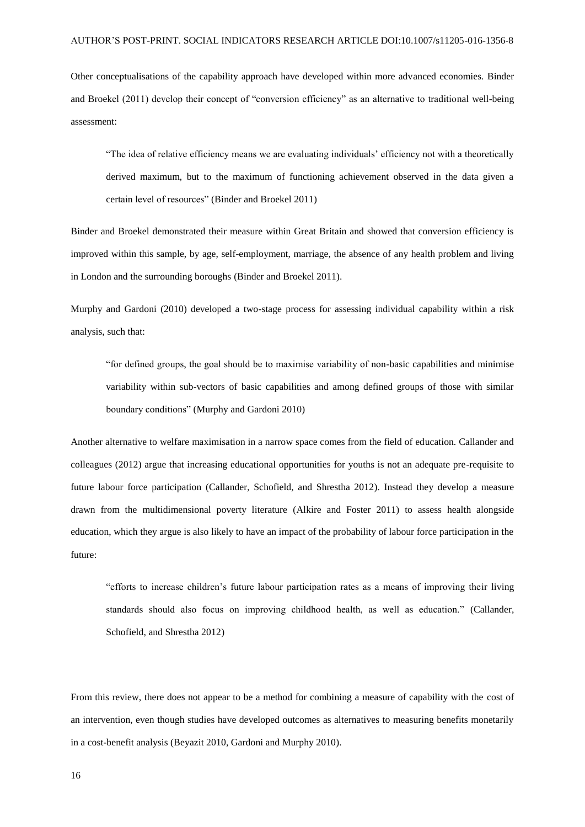Other conceptualisations of the capability approach have developed within more advanced economies. Binder and Broekel (2011) develop their concept of "conversion efficiency" as an alternative to traditional well-being assessment:

"The idea of relative efficiency means we are evaluating individuals' efficiency not with a theoretically derived maximum, but to the maximum of functioning achievement observed in the data given a certain level of resources" [\(Binder and Broekel 2011\)](#page-21-12)

Binder and Broekel demonstrated their measure within Great Britain and showed that conversion efficiency is improved within this sample, by age, self-employment, marriage, the absence of any health problem and living in London and the surrounding boroughs [\(Binder and Broekel 2011\)](#page-21-12).

Murphy and Gardoni (2010) developed a two-stage process for assessing individual capability within a risk analysis, such that:

"for defined groups, the goal should be to maximise variability of non-basic capabilities and minimise variability within sub-vectors of basic capabilities and among defined groups of those with similar boundary conditions" [\(Murphy and Gardoni 2010\)](#page-23-11)

Another alternative to welfare maximisation in a narrow space comes from the field of education. Callander and colleagues (2012) argue that increasing educational opportunities for youths is not an adequate pre-requisite to future labour force participation [\(Callander, Schofield, and Shrestha 2012\)](#page-21-13). Instead they develop a measure drawn from the multidimensional poverty literature [\(Alkire and Foster 2011\)](#page-21-14) to assess health alongside education, which they argue is also likely to have an impact of the probability of labour force participation in the future:

"efforts to increase children's future labour participation rates as a means of improving their living standards should also focus on improving childhood health, as well as education." [\(Callander,](#page-21-13)  [Schofield, and Shrestha 2012\)](#page-21-13)

From this review, there does not appear to be a method for combining a measure of capability with the cost of an intervention, even though studies have developed outcomes as alternatives to measuring benefits monetarily in a cost-benefit analysis [\(Beyazit 2010,](#page-21-15) [Gardoni and Murphy 2010\)](#page-22-12).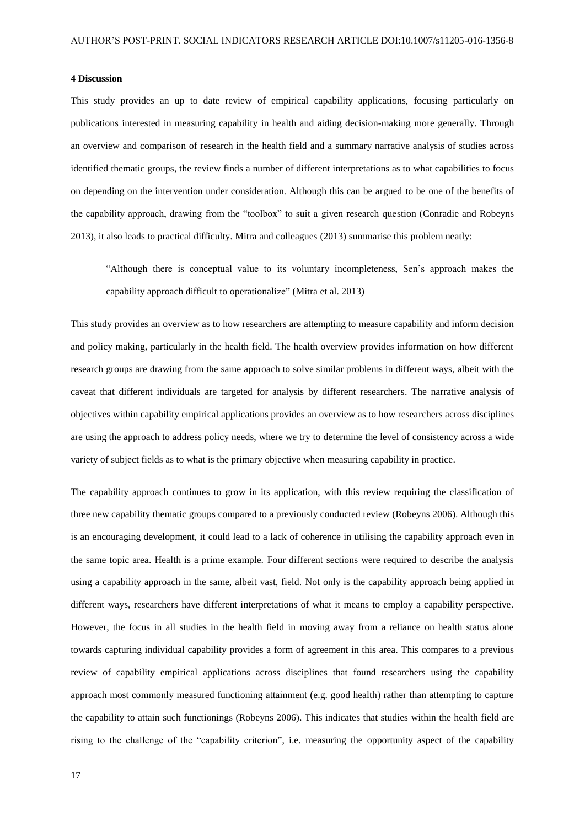# **4 Discussion**

This study provides an up to date review of empirical capability applications, focusing particularly on publications interested in measuring capability in health and aiding decision-making more generally. Through an overview and comparison of research in the health field and a summary narrative analysis of studies across identified thematic groups, the review finds a number of different interpretations as to what capabilities to focus on depending on the intervention under consideration. Although this can be argued to be one of the benefits of the capability approach, drawing from the "toolbox" to suit a given research question [\(Conradie and Robeyns](#page-21-16)  [2013\)](#page-21-16), it also leads to practical difficulty. Mitra and colleagues (2013) summarise this problem neatly:

"Although there is conceptual value to its voluntary incompleteness, Sen's approach makes the capability approach difficult to operationalize" [\(Mitra et al. 2013\)](#page-23-9)

This study provides an overview as to how researchers are attempting to measure capability and inform decision and policy making, particularly in the health field. The health overview provides information on how different research groups are drawing from the same approach to solve similar problems in different ways, albeit with the caveat that different individuals are targeted for analysis by different researchers. The narrative analysis of objectives within capability empirical applications provides an overview as to how researchers across disciplines are using the approach to address policy needs, where we try to determine the level of consistency across a wide variety of subject fields as to what is the primary objective when measuring capability in practice.

The capability approach continues to grow in its application, with this review requiring the classification of three new capability thematic groups compared to a previously conducted review [\(Robeyns 2006\)](#page-24-0). Although this is an encouraging development, it could lead to a lack of coherence in utilising the capability approach even in the same topic area. Health is a prime example. Four different sections were required to describe the analysis using a capability approach in the same, albeit vast, field. Not only is the capability approach being applied in different ways, researchers have different interpretations of what it means to employ a capability perspective. However, the focus in all studies in the health field in moving away from a reliance on health status alone towards capturing individual capability provides a form of agreement in this area. This compares to a previous review of capability empirical applications across disciplines that found researchers using the capability approach most commonly measured functioning attainment (e.g. good health) rather than attempting to capture the capability to attain such functionings (Robeyns 2006). This indicates that studies within the health field are rising to the challenge of the "capability criterion", i.e. measuring the opportunity aspect of the capability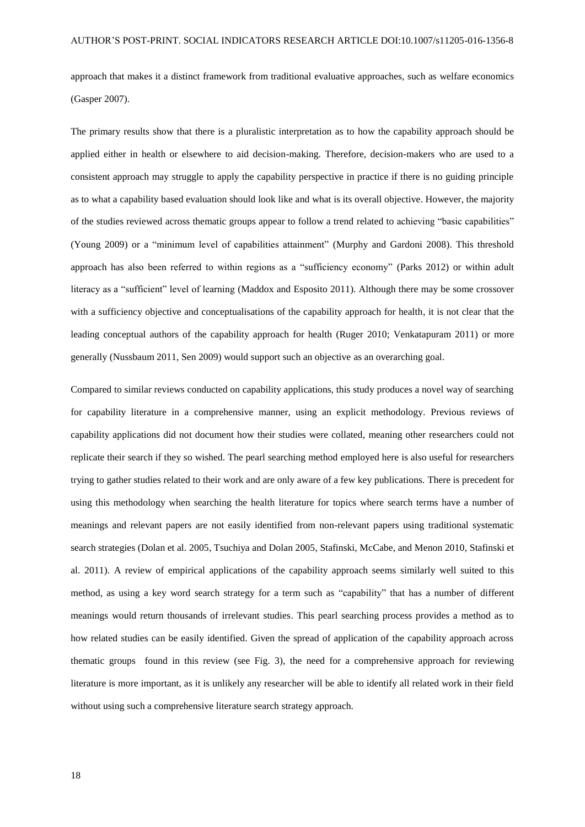approach that makes it a distinct framework from traditional evaluative approaches, such as welfare economics (Gasper 2007).

The primary results show that there is a pluralistic interpretation as to how the capability approach should be applied either in health or elsewhere to aid decision-making. Therefore, decision-makers who are used to a consistent approach may struggle to apply the capability perspective in practice if there is no guiding principle as to what a capability based evaluation should look like and what is its overall objective. However, the majority of the studies reviewed across thematic groups appear to follow a trend related to achieving "basic capabilities" [\(Young 2009\)](#page-25-4) or a "minimum level of capabilities attainment" [\(Murphy and Gardoni 2008\)](#page-23-12). This threshold approach has also been referred to within regions as a "sufficiency economy" [\(Parks 2012\)](#page-24-18) or within adult literacy as a "sufficient" level of learning [\(Maddox and Esposito 2011\)](#page-23-13). Although there may be some crossover with a sufficiency objective and conceptualisations of the capability approach for health, it is not clear that the leading conceptual authors of the capability approach for health (Ruger 2010; Venkatapuram 2011) or more generally (Nussbaum 2011, Sen 2009) would support such an objective as an overarching goal.

Compared to similar reviews conducted on capability applications, this study produces a novel way of searching for capability literature in a comprehensive manner, using an explicit methodology. Previous reviews of capability applications did not document how their studies were collated, meaning other researchers could not replicate their search if they so wished. The pearl searching method employed here is also useful for researchers trying to gather studies related to their work and are only aware of a few key publications. There is precedent for using this methodology when searching the health literature for topics where search terms have a number of meanings and relevant papers are not easily identified from non-relevant papers using traditional systematic search strategies [\(Dolan et al. 2005,](#page-22-13) [Tsuchiya and Dolan 2005,](#page-25-5) [Stafinski, McCabe, and Menon 2010,](#page-24-19) [Stafinski et](#page-25-6)  [al. 2011\)](#page-25-6). A review of empirical applications of the capability approach seems similarly well suited to this method, as using a key word search strategy for a term such as "capability" that has a number of different meanings would return thousands of irrelevant studies. This pearl searching process provides a method as to how related studies can be easily identified. Given the spread of application of the capability approach across thematic groups found in this review (see Fig. 3), the need for a comprehensive approach for reviewing literature is more important, as it is unlikely any researcher will be able to identify all related work in their field without using such a comprehensive literature search strategy approach.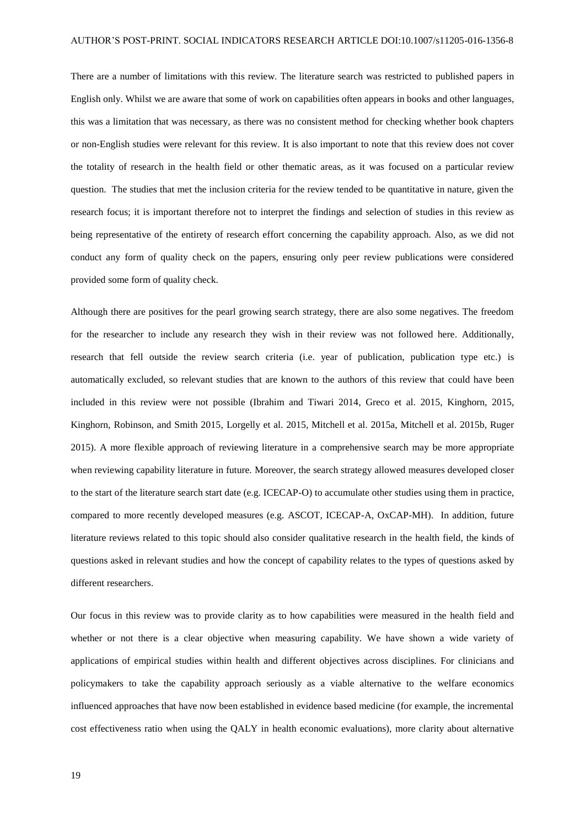There are a number of limitations with this review. The literature search was restricted to published papers in English only. Whilst we are aware that some of work on capabilities often appears in books and other languages, this was a limitation that was necessary, as there was no consistent method for checking whether book chapters or non-English studies were relevant for this review. It is also important to note that this review does not cover the totality of research in the health field or other thematic areas, as it was focused on a particular review question. The studies that met the inclusion criteria for the review tended to be quantitative in nature, given the research focus; it is important therefore not to interpret the findings and selection of studies in this review as being representative of the entirety of research effort concerning the capability approach. Also, as we did not conduct any form of quality check on the papers, ensuring only peer review publications were considered provided some form of quality check.

Although there are positives for the pearl growing search strategy, there are also some negatives. The freedom for the researcher to include any research they wish in their review was not followed here. Additionally, research that fell outside the review search criteria (i.e. year of publication, publication type etc.) is automatically excluded, so relevant studies that are known to the authors of this review that could have been included in this review were not possible [\(Ibrahim and Tiwari 2014,](#page-22-14) [Greco et al. 2015,](#page-22-15) Kinghorn, 2015, [Kinghorn, Robinson, and Smith 2015,](#page-22-16) [Lorgelly et al. 2015,](#page-23-14) Mitchell et al. 2015a, [Mitchell et al. 2015b](#page-23-15), Ruger 2015). A more flexible approach of reviewing literature in a comprehensive search may be more appropriate when reviewing capability literature in future. Moreover, the search strategy allowed measures developed closer to the start of the literature search start date (e.g. ICECAP-O) to accumulate other studies using them in practice, compared to more recently developed measures (e.g. ASCOT, ICECAP-A, OxCAP-MH). In addition, future literature reviews related to this topic should also consider qualitative research in the health field, the kinds of questions asked in relevant studies and how the concept of capability relates to the types of questions asked by different researchers.

Our focus in this review was to provide clarity as to how capabilities were measured in the health field and whether or not there is a clear objective when measuring capability. We have shown a wide variety of applications of empirical studies within health and different objectives across disciplines. For clinicians and policymakers to take the capability approach seriously as a viable alternative to the welfare economics influenced approaches that have now been established in evidence based medicine (for example, the incremental cost effectiveness ratio when using the QALY in health economic evaluations), more clarity about alternative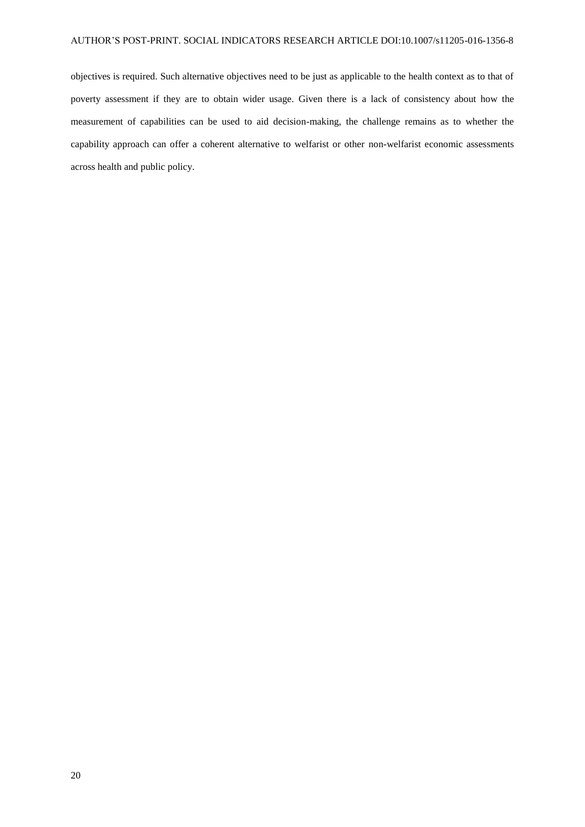objectives is required. Such alternative objectives need to be just as applicable to the health context as to that of poverty assessment if they are to obtain wider usage. Given there is a lack of consistency about how the measurement of capabilities can be used to aid decision-making, the challenge remains as to whether the capability approach can offer a coherent alternative to welfarist or other non-welfarist economic assessments across health and public policy.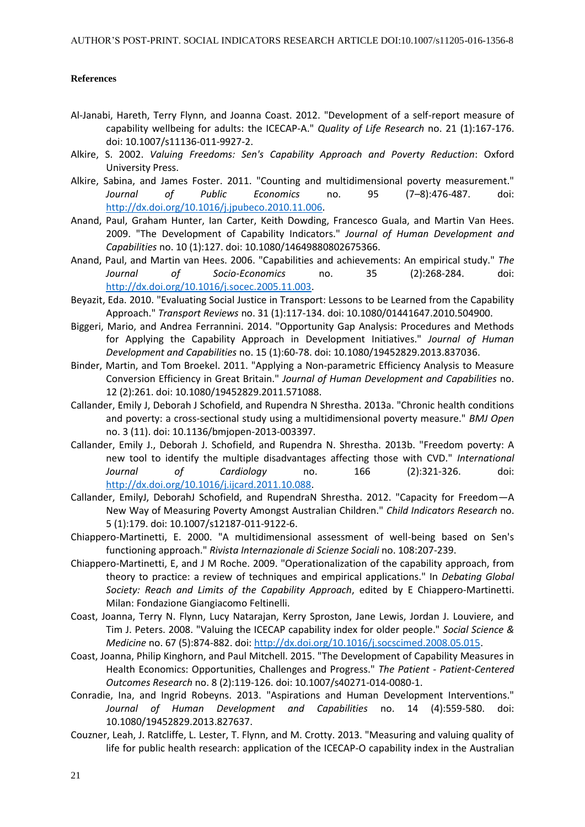# **References**

- <span id="page-21-9"></span>Al-Janabi, Hareth, Terry Flynn, and Joanna Coast. 2012. "Development of a self-report measure of capability wellbeing for adults: the ICECAP-A." *Quality of Life Research* no. 21 (1):167-176. doi: 10.1007/s11136-011-9927-2.
- <span id="page-21-3"></span>Alkire, S. 2002. *Valuing Freedoms: Sen's Capability Approach and Poverty Reduction*: Oxford University Press.
- <span id="page-21-14"></span>Alkire, Sabina, and James Foster. 2011. "Counting and multidimensional poverty measurement." *Journal of Public Economics* no. 95 (7–8):476-487. doi: [http://dx.doi.org/10.1016/j.jpubeco.2010.11.006.](http://dx.doi.org/10.1016/j.jpubeco.2010.11.006)
- <span id="page-21-11"></span>Anand, Paul, Graham Hunter, Ian Carter, Keith Dowding, Francesco Guala, and Martin Van Hees. 2009. "The Development of Capability Indicators." *Journal of Human Development and Capabilities* no. 10 (1):127. doi: 10.1080/14649880802675366.
- <span id="page-21-4"></span>Anand, Paul, and Martin van Hees. 2006. "Capabilities and achievements: An empirical study." *The Journal of Socio-Economics* no. 35 (2):268-284. doi: [http://dx.doi.org/10.1016/j.socec.2005.11.003.](http://dx.doi.org/10.1016/j.socec.2005.11.003)
- <span id="page-21-15"></span>Beyazit, Eda. 2010. "Evaluating Social Justice in Transport: Lessons to be Learned from the Capability Approach." *Transport Reviews* no. 31 (1):117-134. doi: 10.1080/01441647.2010.504900.
- <span id="page-21-10"></span>Biggeri, Mario, and Andrea Ferrannini. 2014. "Opportunity Gap Analysis: Procedures and Methods for Applying the Capability Approach in Development Initiatives." *Journal of Human Development and Capabilities* no. 15 (1):60-78. doi: 10.1080/19452829.2013.837036.
- <span id="page-21-12"></span>Binder, Martin, and Tom Broekel. 2011. "Applying a Non-parametric Efficiency Analysis to Measure Conversion Efficiency in Great Britain." *Journal of Human Development and Capabilities* no. 12 (2):261. doi: 10.1080/19452829.2011.571088.
- <span id="page-21-5"></span>Callander, Emily J, Deborah J Schofield, and Rupendra N Shrestha. 2013a. "Chronic health conditions and poverty: a cross-sectional study using a multidimensional poverty measure." *BMJ Open* no. 3 (11). doi: 10.1136/bmjopen-2013-003397.
- <span id="page-21-6"></span>Callander, Emily J., Deborah J. Schofield, and Rupendra N. Shrestha. 2013b. "Freedom poverty: A new tool to identify the multiple disadvantages affecting those with CVD." *International Journal of Cardiology* no. 166 (2):321-326. doi: [http://dx.doi.org/10.1016/j.ijcard.2011.10.088.](http://dx.doi.org/10.1016/j.ijcard.2011.10.088)
- <span id="page-21-13"></span>Callander, EmilyJ, DeborahJ Schofield, and RupendraN Shrestha. 2012. "Capacity for Freedom—A New Way of Measuring Poverty Amongst Australian Children." *Child Indicators Research* no. 5 (1):179. doi: 10.1007/s12187-011-9122-6.
- <span id="page-21-2"></span>Chiappero-Martinetti, E. 2000. "A multidimensional assessment of well-being based on Sen's functioning approach." *Rivista Internazionale di Scienze Sociali* no. 108:207-239.
- <span id="page-21-0"></span>Chiappero-Martinetti, E, and J M Roche. 2009. "Operationalization of the capability approach, from theory to practice: a review of techniques and empirical applications." In *Debating Global Society: Reach and Limits of the Capability Approach*, edited by E Chiappero-Martinetti. Milan: Fondazione Giangiacomo Feltinelli.
- <span id="page-21-7"></span>Coast, Joanna, Terry N. Flynn, Lucy Natarajan, Kerry Sproston, Jane Lewis, Jordan J. Louviere, and Tim J. Peters. 2008. "Valuing the ICECAP capability index for older people." *Social Science & Medicine* no. 67 (5):874-882. doi[: http://dx.doi.org/10.1016/j.socscimed.2008.05.015.](http://dx.doi.org/10.1016/j.socscimed.2008.05.015)
- <span id="page-21-1"></span>Coast, Joanna, Philip Kinghorn, and Paul Mitchell. 2015. "The Development of Capability Measures in Health Economics: Opportunities, Challenges and Progress." *The Patient - Patient-Centered Outcomes Research* no. 8 (2):119-126. doi: 10.1007/s40271-014-0080-1.
- <span id="page-21-16"></span>Conradie, Ina, and Ingrid Robeyns. 2013. "Aspirations and Human Development Interventions." *Journal of Human Development and Capabilities* no. 14 (4):559-580. doi: 10.1080/19452829.2013.827637.
- <span id="page-21-8"></span>Couzner, Leah, J. Ratcliffe, L. Lester, T. Flynn, and M. Crotty. 2013. "Measuring and valuing quality of life for public health research: application of the ICECAP-O capability index in the Australian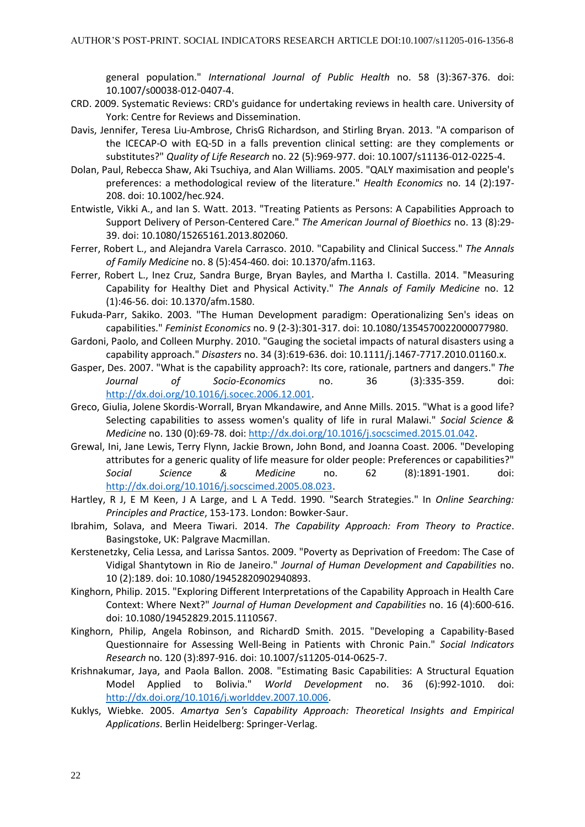general population." *International Journal of Public Health* no. 58 (3):367-376. doi: 10.1007/s00038-012-0407-4.

- <span id="page-22-5"></span>CRD. 2009. Systematic Reviews: CRD's guidance for undertaking reviews in health care. University of York: Centre for Reviews and Dissemination.
- <span id="page-22-9"></span>Davis, Jennifer, Teresa Liu-Ambrose, ChrisG Richardson, and Stirling Bryan. 2013. "A comparison of the ICECAP-O with EQ-5D in a falls prevention clinical setting: are they complements or substitutes?" *Quality of Life Research* no. 22 (5):969-977. doi: 10.1007/s11136-012-0225-4.
- <span id="page-22-13"></span>Dolan, Paul, Rebecca Shaw, Aki Tsuchiya, and Alan Williams. 2005. "QALY maximisation and people's preferences: a methodological review of the literature." *Health Economics* no. 14 (2):197- 208. doi: 10.1002/hec.924.
- <span id="page-22-0"></span>Entwistle, Vikki A., and Ian S. Watt. 2013. "Treating Patients as Persons: A Capabilities Approach to Support Delivery of Person-Centered Care." *The American Journal of Bioethics* no. 13 (8):29- 39. doi: 10.1080/15265161.2013.802060.
- <span id="page-22-6"></span>Ferrer, Robert L., and Alejandra Varela Carrasco. 2010. "Capability and Clinical Success." *The Annals of Family Medicine* no. 8 (5):454-460. doi: 10.1370/afm.1163.
- <span id="page-22-7"></span>Ferrer, Robert L., Inez Cruz, Sandra Burge, Bryan Bayles, and Martha I. Castilla. 2014. "Measuring Capability for Healthy Diet and Physical Activity." *The Annals of Family Medicine* no. 12 (1):46-56. doi: 10.1370/afm.1580.
- <span id="page-22-3"></span>Fukuda-Parr, Sakiko. 2003. "The Human Development paradigm: Operationalizing Sen's ideas on capabilities." *Feminist Economics* no. 9 (2-3):301-317. doi: 10.1080/1354570022000077980.
- <span id="page-22-12"></span>Gardoni, Paolo, and Colleen Murphy. 2010. "Gauging the societal impacts of natural disasters using a capability approach." *Disasters* no. 34 (3):619-636. doi: 10.1111/j.1467-7717.2010.01160.x.
- <span id="page-22-1"></span>Gasper, Des. 2007. "What is the capability approach?: Its core, rationale, partners and dangers." *The Journal of Socio-Economics* no. 36 (3):335-359. doi: [http://dx.doi.org/10.1016/j.socec.2006.12.001.](http://dx.doi.org/10.1016/j.socec.2006.12.001)
- <span id="page-22-15"></span>Greco, Giulia, Jolene Skordis-Worrall, Bryan Mkandawire, and Anne Mills. 2015. "What is a good life? Selecting capabilities to assess women's quality of life in rural Malawi." *Social Science & Medicine* no. 130 (0):69-78. doi: [http://dx.doi.org/10.1016/j.socscimed.2015.01.042.](http://dx.doi.org/10.1016/j.socscimed.2015.01.042)
- <span id="page-22-8"></span>Grewal, Ini, Jane Lewis, Terry Flynn, Jackie Brown, John Bond, and Joanna Coast. 2006. "Developing attributes for a generic quality of life measure for older people: Preferences or capabilities?" *Social Science & Medicine* no. 62 (8):1891-1901. doi: [http://dx.doi.org/10.1016/j.socscimed.2005.08.023.](http://dx.doi.org/10.1016/j.socscimed.2005.08.023)
- <span id="page-22-2"></span>Hartley, R J, E M Keen, J A Large, and L A Tedd. 1990. "Search Strategies." In *Online Searching: Principles and Practice*, 153-173. London: Bowker-Saur.
- <span id="page-22-14"></span>Ibrahim, Solava, and Meera Tiwari. 2014. *The Capability Approach: From Theory to Practice*. Basingstoke, UK: Palgrave Macmillan.
- <span id="page-22-11"></span>Kerstenetzky, Celia Lessa, and Larissa Santos. 2009. "Poverty as Deprivation of Freedom: The Case of Vidigal Shantytown in Rio de Janeiro." *Journal of Human Development and Capabilities* no. 10 (2):189. doi: 10.1080/19452820902940893.
- Kinghorn, Philip. 2015. "Exploring Different Interpretations of the Capability Approach in Health Care Context: Where Next?" *Journal of Human Development and Capabilities* no. 16 (4):600-616. doi: 10.1080/19452829.2015.1110567.
- <span id="page-22-16"></span>Kinghorn, Philip, Angela Robinson, and RichardD Smith. 2015. "Developing a Capability-Based Questionnaire for Assessing Well-Being in Patients with Chronic Pain." *Social Indicators Research* no. 120 (3):897-916. doi: 10.1007/s11205-014-0625-7.
- <span id="page-22-10"></span>Krishnakumar, Jaya, and Paola Ballon. 2008. "Estimating Basic Capabilities: A Structural Equation Model Applied to Bolivia." *World Development* no. 36 (6):992-1010. doi: [http://dx.doi.org/10.1016/j.worlddev.2007.10.006.](http://dx.doi.org/10.1016/j.worlddev.2007.10.006)
- <span id="page-22-4"></span>Kuklys, Wiebke. 2005. *Amartya Sen's Capability Approach: Theoretical Insights and Empirical Applications*. Berlin Heidelberg: Springer-Verlag.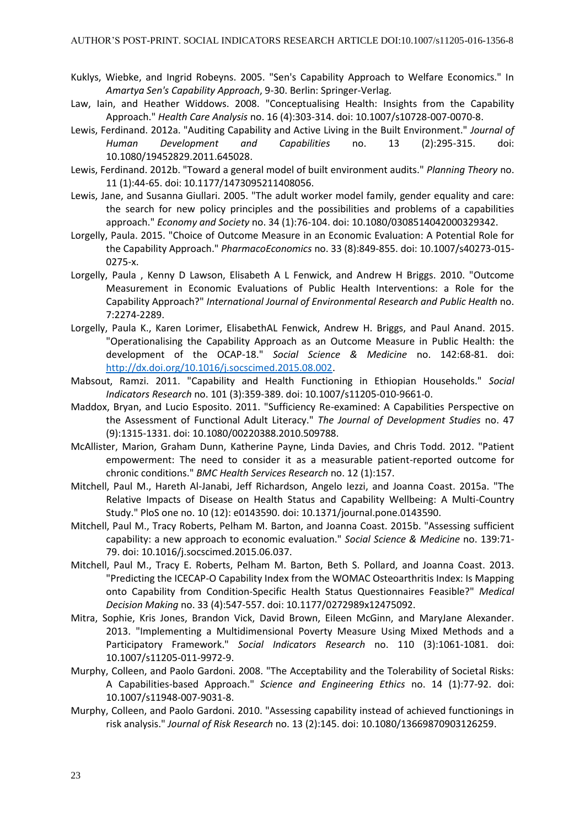- <span id="page-23-0"></span>Kuklys, Wiebke, and Ingrid Robeyns. 2005. "Sen's Capability Approach to Welfare Economics." In *Amartya Sen's Capability Approach*, 9-30. Berlin: Springer-Verlag.
- <span id="page-23-1"></span>Law, Iain, and Heather Widdows. 2008. "Conceptualising Health: Insights from the Capability Approach." *Health Care Analysis* no. 16 (4):303-314. doi: 10.1007/s10728-007-0070-8.
- <span id="page-23-5"></span>Lewis, Ferdinand. 2012a. "Auditing Capability and Active Living in the Built Environment." *Journal of Human Development and Capabilities* no. 13 (2):295-315. doi: 10.1080/19452829.2011.645028.
- <span id="page-23-6"></span>Lewis, Ferdinand. 2012b. "Toward a general model of built environment audits." *Planning Theory* no. 11 (1):44-65. doi: 10.1177/1473095211408056.
- <span id="page-23-4"></span>Lewis, Jane, and Susanna Giullari. 2005. "The adult worker model family, gender equality and care: the search for new policy principles and the possibilities and problems of a capabilities approach." *Economy and Society* no. 34 (1):76-104. doi: 10.1080/0308514042000329342.
- <span id="page-23-3"></span>Lorgelly, Paula. 2015. "Choice of Outcome Measure in an Economic Evaluation: A Potential Role for the Capability Approach." *PharmacoEconomics* no. 33 (8):849-855. doi: 10.1007/s40273-015- 0275-x.
- <span id="page-23-2"></span>Lorgelly, Paula , Kenny D Lawson, Elisabeth A L Fenwick, and Andrew H Briggs. 2010. "Outcome Measurement in Economic Evaluations of Public Health Interventions: a Role for the Capability Approach?" *International Journal of Environmental Research and Public Health* no. 7:2274-2289.
- <span id="page-23-14"></span>Lorgelly, Paula K., Karen Lorimer, ElisabethAL Fenwick, Andrew H. Briggs, and Paul Anand. 2015. "Operationalising the Capability Approach as an Outcome Measure in Public Health: the development of the OCAP-18." *Social Science & Medicine* no. 142:68-81. doi: [http://dx.doi.org/10.1016/j.socscimed.2015.08.002.](http://dx.doi.org/10.1016/j.socscimed.2015.08.002)
- <span id="page-23-7"></span>Mabsout, Ramzi. 2011. "Capability and Health Functioning in Ethiopian Households." *Social Indicators Research* no. 101 (3):359-389. doi: 10.1007/s11205-010-9661-0.
- <span id="page-23-13"></span>Maddox, Bryan, and Lucio Esposito. 2011. "Sufficiency Re-examined: A Capabilities Perspective on the Assessment of Functional Adult Literacy." *The Journal of Development Studies* no. 47 (9):1315-1331. doi: 10.1080/00220388.2010.509788.
- <span id="page-23-8"></span>McAllister, Marion, Graham Dunn, Katherine Payne, Linda Davies, and Chris Todd. 2012. "Patient empowerment: The need to consider it as a measurable patient-reported outcome for chronic conditions." *BMC Health Services Research* no. 12 (1):157.
- Mitchell, Paul M., Hareth Al-Janabi, Jeff Richardson, Angelo Iezzi, and Joanna Coast. 2015a. "The Relative Impacts of Disease on Health Status and Capability Wellbeing: A Multi-Country Study." PloS one no. 10 (12): e0143590. doi: 10.1371/journal.pone.0143590.
- <span id="page-23-15"></span>Mitchell, Paul M., Tracy Roberts, Pelham M. Barton, and Joanna Coast. 2015b. "Assessing sufficient capability: a new approach to economic evaluation." *Social Science & Medicine* no. 139:71- 79. doi: 10.1016/j.socscimed.2015.06.037.
- <span id="page-23-10"></span>Mitchell, Paul M., Tracy E. Roberts, Pelham M. Barton, Beth S. Pollard, and Joanna Coast. 2013. "Predicting the ICECAP-O Capability Index from the WOMAC Osteoarthritis Index: Is Mapping onto Capability from Condition-Specific Health Status Questionnaires Feasible?" *Medical Decision Making* no. 33 (4):547-557. doi: 10.1177/0272989x12475092.
- <span id="page-23-9"></span>Mitra, Sophie, Kris Jones, Brandon Vick, David Brown, Eileen McGinn, and MaryJane Alexander. 2013. "Implementing a Multidimensional Poverty Measure Using Mixed Methods and a Participatory Framework." *Social Indicators Research* no. 110 (3):1061-1081. doi: 10.1007/s11205-011-9972-9.
- <span id="page-23-12"></span>Murphy, Colleen, and Paolo Gardoni. 2008. "The Acceptability and the Tolerability of Societal Risks: A Capabilities-based Approach." *Science and Engineering Ethics* no. 14 (1):77-92. doi: 10.1007/s11948-007-9031-8.
- <span id="page-23-11"></span>Murphy, Colleen, and Paolo Gardoni. 2010. "Assessing capability instead of achieved functionings in risk analysis." *Journal of Risk Research* no. 13 (2):145. doi: 10.1080/13669870903126259.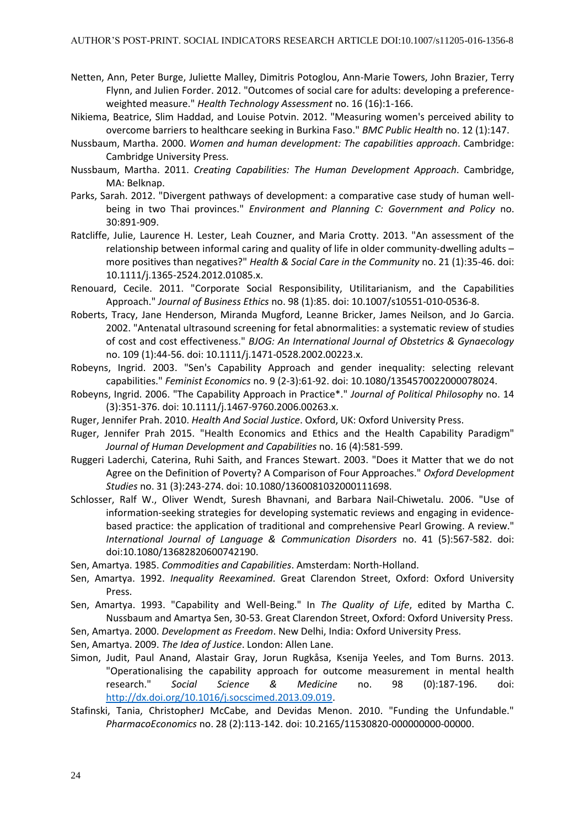- <span id="page-24-15"></span>Netten, Ann, Peter Burge, Juliette Malley, Dimitris Potoglou, Ann-Marie Towers, John Brazier, Terry Flynn, and Julien Forder. 2012. "Outcomes of social care for adults: developing a preferenceweighted measure." *Health Technology Assessment* no. 16 (16):1-166.
- <span id="page-24-13"></span>Nikiema, Beatrice, Slim Haddad, and Louise Potvin. 2012. "Measuring women's perceived ability to overcome barriers to healthcare seeking in Burkina Faso." *BMC Public Health* no. 12 (1):147.
- <span id="page-24-11"></span>Nussbaum, Martha. 2000. *Women and human development: The capabilities approach*. Cambridge: Cambridge University Press.
- <span id="page-24-12"></span>Nussbaum, Martha. 2011. *Creating Capabilities: The Human Development Approach*. Cambridge, MA: Belknap.
- <span id="page-24-18"></span>Parks, Sarah. 2012. "Divergent pathways of development: a comparative case study of human wellbeing in two Thai provinces." *Environment and Planning C: Government and Policy* no. 30:891-909.
- <span id="page-24-14"></span>Ratcliffe, Julie, Laurence H. Lester, Leah Couzner, and Maria Crotty. 2013. "An assessment of the relationship between informal caring and quality of life in older community-dwelling adults – more positives than negatives?" *Health & Social Care in the Community* no. 21 (1):35-46. doi: 10.1111/j.1365-2524.2012.01085.x.
- <span id="page-24-17"></span>Renouard, Cecile. 2011. "Corporate Social Responsibility, Utilitarianism, and the Capabilities Approach." *Journal of Business Ethics* no. 98 (1):85. doi: 10.1007/s10551-010-0536-8.
- <span id="page-24-5"></span>Roberts, Tracy, Jane Henderson, Miranda Mugford, Leanne Bricker, James Neilson, and Jo Garcia. 2002. "Antenatal ultrasound screening for fetal abnormalities: a systematic review of studies of cost and cost effectiveness." *BJOG: An International Journal of Obstetrics & Gynaecology* no. 109 (1):44-56. doi: 10.1111/j.1471-0528.2002.00223.x.
- <span id="page-24-3"></span>Robeyns, Ingrid. 2003. "Sen's Capability Approach and gender inequality: selecting relevant capabilities." *Feminist Economics* no. 9 (2-3):61-92. doi: 10.1080/1354570022000078024.
- <span id="page-24-0"></span>Robeyns, Ingrid. 2006. "The Capability Approach in Practice\*." *Journal of Political Philosophy* no. 14 (3):351-376. doi: 10.1111/j.1467-9760.2006.00263.x.
- <span id="page-24-1"></span>Ruger, Jennifer Prah. 2010. *Health And Social Justice*. Oxford, UK: Oxford University Press.
- Ruger, Jennifer Prah 2015. "Health Economics and Ethics and the Health Capability Paradigm" *Journal of Human Development and Capabilities* no. 16 (4):581-599.
- <span id="page-24-4"></span>Ruggeri Laderchi, Caterina, Ruhi Saith, and Frances Stewart. 2003. "Does it Matter that we do not Agree on the Definition of Poverty? A Comparison of Four Approaches." *Oxford Development Studies* no. 31 (3):243-274. doi: 10.1080/1360081032000111698.
- <span id="page-24-2"></span>Schlosser, Ralf W., Oliver Wendt, Suresh Bhavnani, and Barbara Nail‐Chiwetalu. 2006. "Use of information-seeking strategies for developing systematic reviews and engaging in evidencebased practice: the application of traditional and comprehensive Pearl Growing. A review." *International Journal of Language & Communication Disorders* no. 41 (5):567-582. doi: doi:10.1080/13682820600742190.
- <span id="page-24-6"></span>Sen, Amartya. 1985. *Commodities and Capabilities*. Amsterdam: North-Holland.
- <span id="page-24-7"></span>Sen, Amartya. 1992. *Inequality Reexamined*. Great Clarendon Street, Oxford: Oxford University Press.
- <span id="page-24-8"></span>Sen, Amartya. 1993. "Capability and Well-Being." In *The Quality of Life*, edited by Martha C. Nussbaum and Amartya Sen, 30-53. Great Clarendon Street, Oxford: Oxford University Press.
- <span id="page-24-9"></span>Sen, Amartya. 2000. *Development as Freedom*. New Delhi, India: Oxford University Press.
- <span id="page-24-10"></span>Sen, Amartya. 2009. *The Idea of Justice*. London: Allen Lane.
- <span id="page-24-16"></span>Simon, Judit, Paul Anand, Alastair Gray, Jorun Rugkåsa, Ksenija Yeeles, and Tom Burns. 2013. "Operationalising the capability approach for outcome measurement in mental health research." *Social Science & Medicine* no. 98 (0):187-196. doi: [http://dx.doi.org/10.1016/j.socscimed.2013.09.019.](http://dx.doi.org/10.1016/j.socscimed.2013.09.019)
- <span id="page-24-19"></span>Stafinski, Tania, ChristopherJ McCabe, and Devidas Menon. 2010. "Funding the Unfundable." *PharmacoEconomics* no. 28 (2):113-142. doi: 10.2165/11530820-000000000-00000.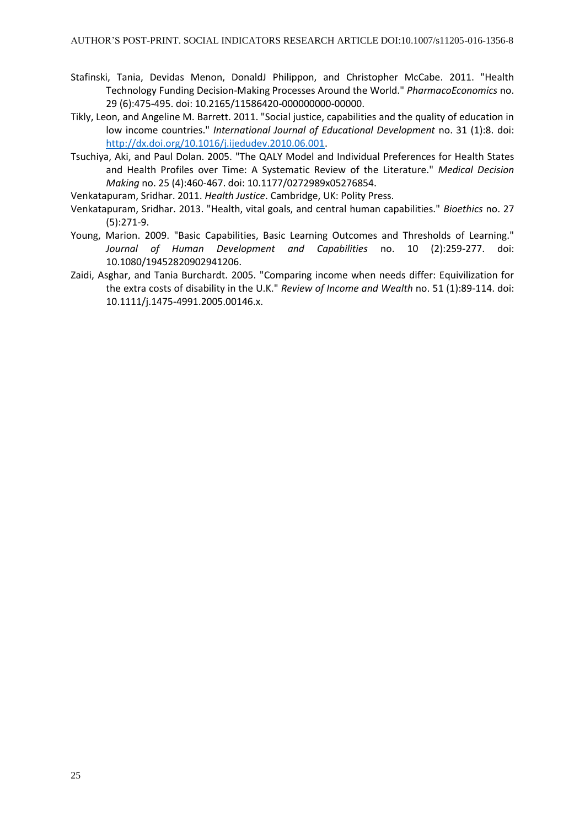- <span id="page-25-6"></span>Stafinski, Tania, Devidas Menon, DonaldJ Philippon, and Christopher McCabe. 2011. "Health Technology Funding Decision-Making Processes Around the World." *PharmacoEconomics* no. 29 (6):475-495. doi: 10.2165/11586420-000000000-00000.
- <span id="page-25-3"></span>Tikly, Leon, and Angeline M. Barrett. 2011. "Social justice, capabilities and the quality of education in low income countries." *International Journal of Educational Development* no. 31 (1):8. doi: [http://dx.doi.org/10.1016/j.ijedudev.2010.06.001.](http://dx.doi.org/10.1016/j.ijedudev.2010.06.001)
- <span id="page-25-5"></span>Tsuchiya, Aki, and Paul Dolan. 2005. "The QALY Model and Individual Preferences for Health States and Health Profiles over Time: A Systematic Review of the Literature." *Medical Decision Making* no. 25 (4):460-467. doi: 10.1177/0272989x05276854.

<span id="page-25-0"></span>Venkatapuram, Sridhar. 2011. *Health Justice*. Cambridge, UK: Polity Press.

- <span id="page-25-1"></span>Venkatapuram, Sridhar. 2013. "Health, vital goals, and central human capabilities." *Bioethics* no. 27 (5):271-9.
- <span id="page-25-4"></span>Young, Marion. 2009. "Basic Capabilities, Basic Learning Outcomes and Thresholds of Learning." *Journal of Human Development and Capabilities* no. 10 (2):259-277. doi: 10.1080/19452820902941206.
- <span id="page-25-2"></span>Zaidi, Asghar, and Tania Burchardt. 2005. "Comparing income when needs differ: Equivilization for the extra costs of disability in the U.K." *Review of Income and Wealth* no. 51 (1):89-114. doi: 10.1111/j.1475-4991.2005.00146.x.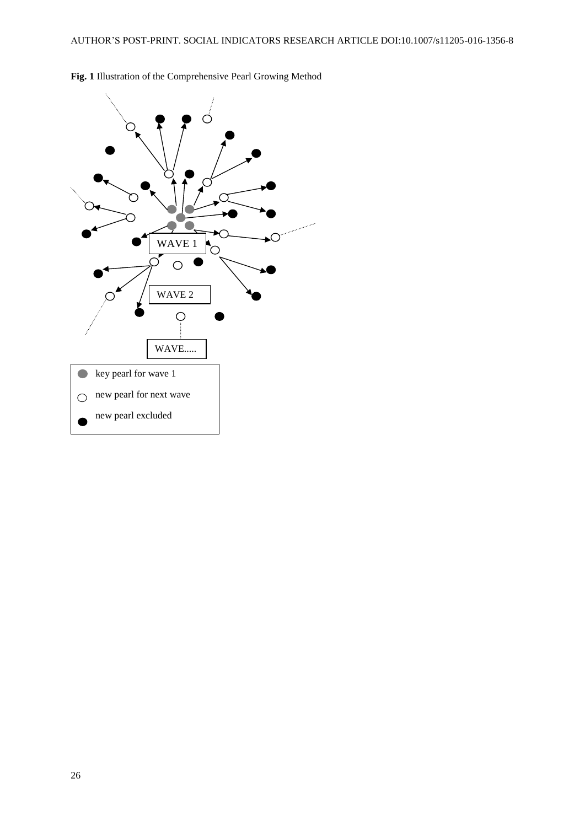

**Fig. 1** Illustration of the Comprehensive Pearl Growing Method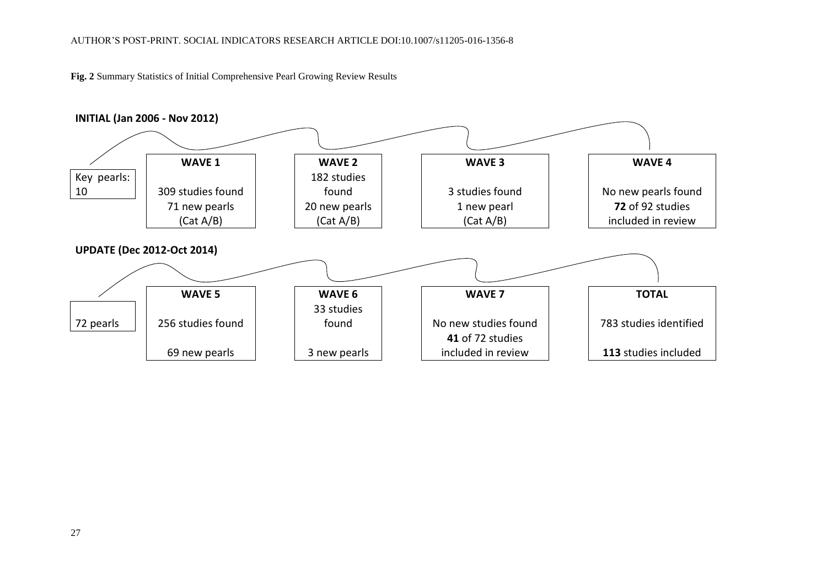# AUTHOR'S POST-PRINT. SOCIAL INDICATORS RESEARCH ARTICLE DOI:10.1007/s11205-016-1356-8

**Fig. 2** Summary Statistics of Initial Comprehensive Pearl Growing Review Results